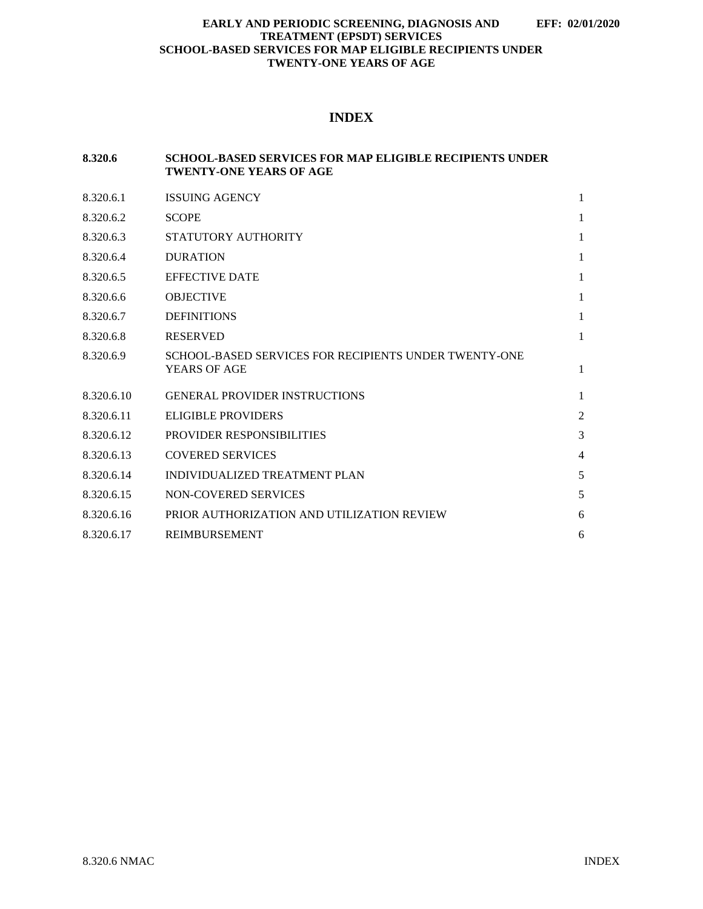## **INDEX**

## **8.320.6 SCHOOL-BASED SERVICES FOR MAP ELIGIBLE RECIPIENTS UNDER TWENTY-ONE YEARS OF AGE**

| 8.320.6.1  | <b>ISSUING AGENCY</b>                                                 | 1              |
|------------|-----------------------------------------------------------------------|----------------|
| 8.320.6.2  | <b>SCOPE</b>                                                          | 1              |
| 8.320.6.3  | STATUTORY AUTHORITY                                                   | 1              |
| 8.320.6.4  | <b>DURATION</b>                                                       | 1              |
| 8.320.6.5  | <b>EFFECTIVE DATE</b>                                                 | 1              |
| 8.320.6.6  | <b>OBJECTIVE</b>                                                      | 1              |
| 8.320.6.7  | <b>DEFINITIONS</b>                                                    | 1              |
| 8.320.6.8  | <b>RESERVED</b>                                                       | $\mathbf{1}$   |
| 8.320.6.9  | SCHOOL-BASED SERVICES FOR RECIPIENTS UNDER TWENTY-ONE<br>YEARS OF AGE | $\mathbf{1}$   |
| 8.320.6.10 | <b>GENERAL PROVIDER INSTRUCTIONS</b>                                  | 1              |
| 8.320.6.11 | <b>ELIGIBLE PROVIDERS</b>                                             | $\overline{2}$ |
| 8.320.6.12 | PROVIDER RESPONSIBILITIES                                             | 3              |
| 8.320.6.13 | <b>COVERED SERVICES</b>                                               | 4              |
| 8.320.6.14 | INDIVIDUALIZED TREATMENT PLAN                                         | 5              |
| 8.320.6.15 | NON-COVERED SERVICES                                                  | 5              |
| 8.320.6.16 | PRIOR AUTHORIZATION AND UTILIZATION REVIEW                            | 6              |
| 8.320.6.17 | <b>REIMBURSEMENT</b>                                                  | 6              |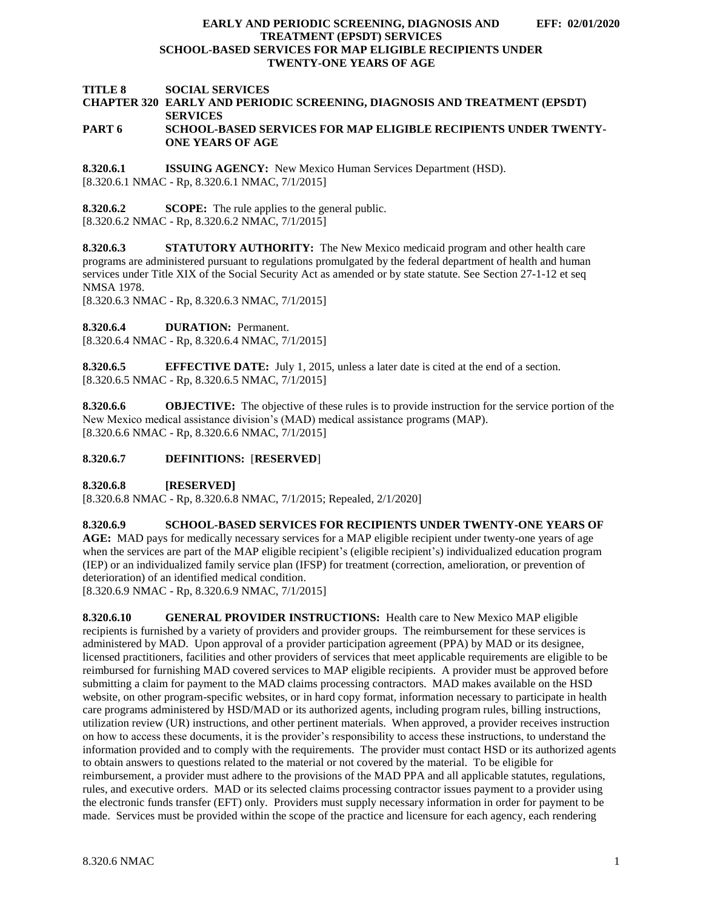**TITLE 8 SOCIAL SERVICES**

#### **CHAPTER 320 EARLY AND PERIODIC SCREENING, DIAGNOSIS AND TREATMENT (EPSDT) SERVICES PART 6 SCHOOL-BASED SERVICES FOR MAP ELIGIBLE RECIPIENTS UNDER TWENTY-ONE YEARS OF AGE**

<span id="page-1-0"></span>**8.320.6.1 ISSUING AGENCY:** New Mexico Human Services Department (HSD). [8.320.6.1 NMAC - Rp, 8.320.6.1 NMAC, 7/1/2015]

<span id="page-1-1"></span>**8.320.6.2 SCOPE:** The rule applies to the general public. [8.320.6.2 NMAC - Rp, 8.320.6.2 NMAC, 7/1/2015]

<span id="page-1-2"></span>**8.320.6.3 STATUTORY AUTHORITY:** The New Mexico medicaid program and other health care programs are administered pursuant to regulations promulgated by the federal department of health and human services under Title XIX of the Social Security Act as amended or by state statute. See Section 27-1-12 et seq NMSA 1978.

[8.320.6.3 NMAC - Rp, 8.320.6.3 NMAC, 7/1/2015]

<span id="page-1-3"></span>**8.320.6.4 DURATION:** Permanent.

[8.320.6.4 NMAC - Rp, 8.320.6.4 NMAC, 7/1/2015]

<span id="page-1-4"></span>**8.320.6.5 EFFECTIVE DATE:** July 1, 2015, unless a later date is cited at the end of a section. [8.320.6.5 NMAC - Rp, 8.320.6.5 NMAC, 7/1/2015]

<span id="page-1-5"></span>**8.320.6.6 OBJECTIVE:** The objective of these rules is to provide instruction for the service portion of the New Mexico medical assistance division's (MAD) medical assistance programs (MAP). [8.320.6.6 NMAC - Rp, 8.320.6.6 NMAC, 7/1/2015]

## <span id="page-1-6"></span>**8.320.6.7 DEFINITIONS:** [**RESERVED**]

<span id="page-1-7"></span>**8.320.6.8 [RESERVED]**

[8.320.6.8 NMAC - Rp, 8.320.6.8 NMAC, 7/1/2015; Repealed, 2/1/2020]

## <span id="page-1-8"></span>**8.320.6.9 SCHOOL-BASED SERVICES FOR RECIPIENTS UNDER TWENTY-ONE YEARS OF**

**AGE:** MAD pays for medically necessary services for a MAP eligible recipient under twenty-one years of age when the services are part of the MAP eligible recipient's (eligible recipient's) individualized education program (IEP) or an individualized family service plan (IFSP) for treatment (correction, amelioration, or prevention of deterioration) of an identified medical condition.

[8.320.6.9 NMAC - Rp, 8.320.6.9 NMAC, 7/1/2015]

<span id="page-1-9"></span>**8.320.6.10 GENERAL PROVIDER INSTRUCTIONS:** Health care to New Mexico MAP eligible recipients is furnished by a variety of providers and provider groups. The reimbursement for these services is administered by MAD. Upon approval of a provider participation agreement (PPA) by MAD or its designee, licensed practitioners, facilities and other providers of services that meet applicable requirements are eligible to be reimbursed for furnishing MAD covered services to MAP eligible recipients. A provider must be approved before submitting a claim for payment to the MAD claims processing contractors. MAD makes available on the HSD website, on other program-specific websites, or in hard copy format, information necessary to participate in health care programs administered by HSD/MAD or its authorized agents, including program rules, billing instructions, utilization review (UR) instructions, and other pertinent materials. When approved, a provider receives instruction on how to access these documents, it is the provider's responsibility to access these instructions, to understand the information provided and to comply with the requirements. The provider must contact HSD or its authorized agents to obtain answers to questions related to the material or not covered by the material. To be eligible for reimbursement, a provider must adhere to the provisions of the MAD PPA and all applicable statutes, regulations, rules, and executive orders. MAD or its selected claims processing contractor issues payment to a provider using the electronic funds transfer (EFT) only. Providers must supply necessary information in order for payment to be made. Services must be provided within the scope of the practice and licensure for each agency, each rendering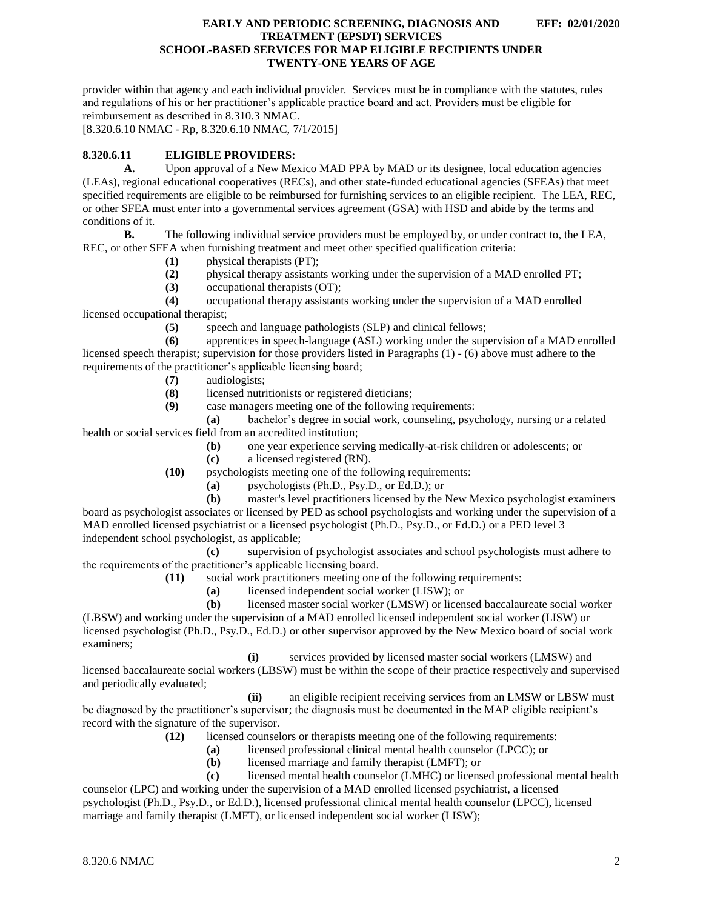provider within that agency and each individual provider. Services must be in compliance with the statutes, rules and regulations of his or her practitioner's applicable practice board and act. Providers must be eligible for reimbursement as described in 8.310.3 NMAC.

[8.320.6.10 NMAC - Rp, 8.320.6.10 NMAC, 7/1/2015]

## <span id="page-2-0"></span>**8.320.6.11 ELIGIBLE PROVIDERS:**

**A.** Upon approval of a New Mexico MAD PPA by MAD or its designee, local education agencies (LEAs), regional educational cooperatives (RECs), and other state-funded educational agencies (SFEAs) that meet specified requirements are eligible to be reimbursed for furnishing services to an eligible recipient. The LEA, REC, or other SFEA must enter into a governmental services agreement (GSA) with HSD and abide by the terms and conditions of it.

**B.** The following individual service providers must be employed by, or under contract to, the LEA, REC, or other SFEA when furnishing treatment and meet other specified qualification criteria:

- **(1)** physical therapists (PT);
- **(2)** physical therapy assistants working under the supervision of a MAD enrolled PT;
- **(3)** occupational therapists (OT);

**(4)** occupational therapy assistants working under the supervision of a MAD enrolled licensed occupational therapist;

**(5)** speech and language pathologists (SLP) and clinical fellows;

**(6)** apprentices in speech-language (ASL) working under the supervision of a MAD enrolled licensed speech therapist; supervision for those providers listed in Paragraphs (1) - (6) above must adhere to the requirements of the practitioner's applicable licensing board;

**(7)** audiologists;

**(8)** licensed nutritionists or registered dieticians;

- **(9)** case managers meeting one of the following requirements:
- **(a)** bachelor's degree in social work, counseling, psychology, nursing or a related health or social services field from an accredited institution;
	- **(b)** one year experience serving medically-at-risk children or adolescents; or
	- **(c)** a licensed registered (RN).
	- **(10)** psychologists meeting one of the following requirements:
		- **(a)** psychologists (Ph.D., Psy.D., or Ed.D.); or

**(b)** master's level practitioners licensed by the New Mexico psychologist examiners board as psychologist associates or licensed by PED as school psychologists and working under the supervision of a MAD enrolled licensed psychiatrist or a licensed psychologist (Ph.D., Psy.D., or Ed.D.) or a PED level 3 independent school psychologist, as applicable;

**(c)** supervision of psychologist associates and school psychologists must adhere to the requirements of the practitioner's applicable licensing board.

- **(11)** social work practitioners meeting one of the following requirements:
	- **(a)** licensed independent social worker (LISW); or
	- **(b)** licensed master social worker (LMSW) or licensed baccalaureate social worker

(LBSW) and working under the supervision of a MAD enrolled licensed independent social worker (LISW) or licensed psychologist (Ph.D., Psy.D., Ed.D.) or other supervisor approved by the New Mexico board of social work examiners;

**(i)** services provided by licensed master social workers (LMSW) and licensed baccalaureate social workers (LBSW) must be within the scope of their practice respectively and supervised and periodically evaluated;

**(ii)** an eligible recipient receiving services from an LMSW or LBSW must be diagnosed by the practitioner's supervisor; the diagnosis must be documented in the MAP eligible recipient's record with the signature of the supervisor.

- **(12)** licensed counselors or therapists meeting one of the following requirements:
	- **(a)** licensed professional clinical mental health counselor (LPCC); or
	- **(b)** licensed marriage and family therapist (LMFT); or

**(c)** licensed mental health counselor (LMHC) or licensed professional mental health counselor (LPC) and working under the supervision of a MAD enrolled licensed psychiatrist, a licensed psychologist (Ph.D., Psy.D., or Ed.D.), licensed professional clinical mental health counselor (LPCC), licensed marriage and family therapist (LMFT), or licensed independent social worker (LISW);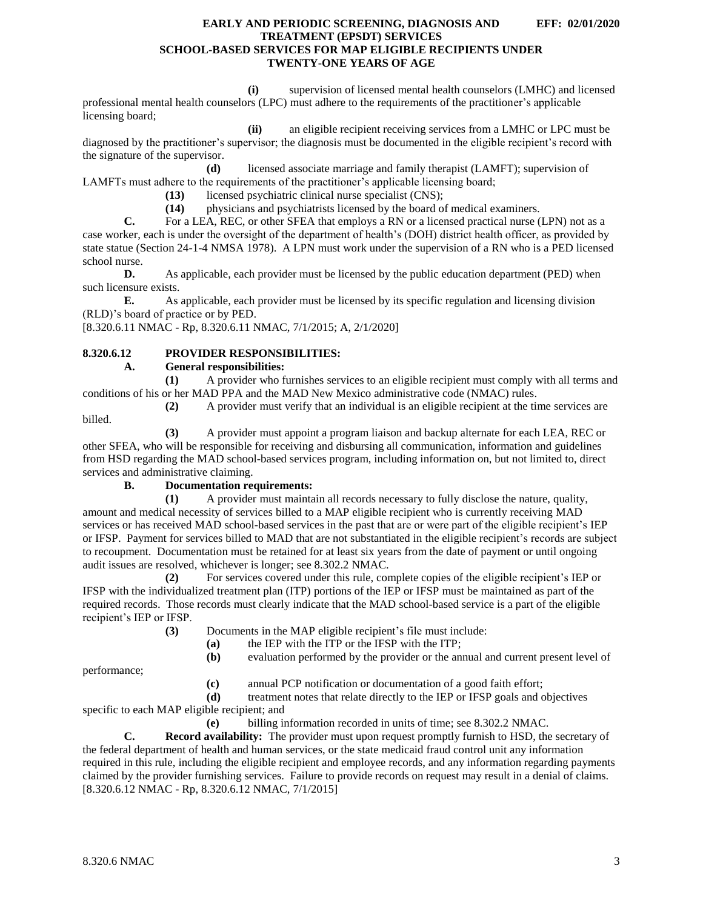<span id="page-3-1"></span>**(i)** supervision of licensed mental health counselors (LMHC) and licensed professional mental health counselors (LPC) must adhere to the requirements of the practitioner's applicable licensing board;

**(ii)** an eligible recipient receiving services from a LMHC or LPC must be diagnosed by the practitioner's supervisor; the diagnosis must be documented in the eligible recipient's record with the signature of the supervisor.

**(d)** licensed associate marriage and family therapist (LAMFT); supervision of LAMFTs must adhere to the requirements of the practitioner's applicable licensing board;

**(13)** licensed psychiatric clinical nurse specialist (CNS);

**(14)** physicians and psychiatrists licensed by the board of medical examiners.

**C.** For a LEA, REC, or other SFEA that employs a RN or a licensed practical nurse (LPN) not as a case worker, each is under the oversight of the department of health's (DOH) district health officer, as provided by state statue (Section 24-1-4 NMSA 1978). A LPN must work under the supervision of a RN who is a PED licensed school nurse.

**D.** As applicable, each provider must be licensed by the public education department (PED) when such licensure exists.

**E.** As applicable, each provider must be licensed by its specific regulation and licensing division (RLD)'s board of practice or by PED.

[8.320.6.11 NMAC - Rp, 8.320.6.11 NMAC, 7/1/2015; A, 2/1/2020]

## <span id="page-3-0"></span>**8.320.6.12 PROVIDER RESPONSIBILITIES:**

## **A. General responsibilities:**

**(1)** A provider who furnishes services to an eligible recipient must comply with all terms and conditions of his or her MAD PPA and the MAD New Mexico administrative code (NMAC) rules.

**(2)** A provider must verify that an individual is an eligible recipient at the time services are

**(3)** A provider must appoint a program liaison and backup alternate for each LEA, REC or other SFEA, who will be responsible for receiving and disbursing all communication, information and guidelines from HSD regarding the MAD school-based services program, including information on, but not limited to, direct services and administrative claiming.

#### **B. Documentation requirements:**

**(1)** A provider must maintain all records necessary to fully disclose the nature, quality, amount and medical necessity of services billed to a MAP eligible recipient who is currently receiving MAD services or has received MAD school-based services in the past that are or were part of the eligible recipient's IEP or IFSP. Payment for services billed to MAD that are not substantiated in the eligible recipient's records are subject to recoupment. Documentation must be retained for at least six years from the date of payment or until ongoing audit issues are resolved, whichever is longer; see 8.302.2 NMAC.

**(2)** For services covered under this rule, complete copies of the eligible recipient's IEP or IFSP with the individualized treatment plan (ITP) portions of the IEP or IFSP must be maintained as part of the required records. Those records must clearly indicate that the MAD school-based service is a part of the eligible recipient's IEP or IFSP.

**(3)** Documents in the MAP eligible recipient's file must include:

**(a)** the IEP with the ITP or the IFSP with the ITP;

**(b)** evaluation performed by the provider or the annual and current present level of

performance;

billed.

**(c)** annual PCP notification or documentation of a good faith effort;

**(d)** treatment notes that relate directly to the IEP or IFSP goals and objectives specific to each MAP eligible recipient; and

**(e)** billing information recorded in units of time; see 8.302.2 NMAC.

**C. Record availability:** The provider must upon request promptly furnish to HSD, the secretary of the federal department of health and human services, or the state medicaid fraud control unit any information required in this rule, including the eligible recipient and employee records, and any information regarding payments claimed by the provider furnishing services. Failure to provide records on request may result in a denial of claims. [8.320.6.12 NMAC - Rp, 8.320.6.12 NMAC, 7/1/2015]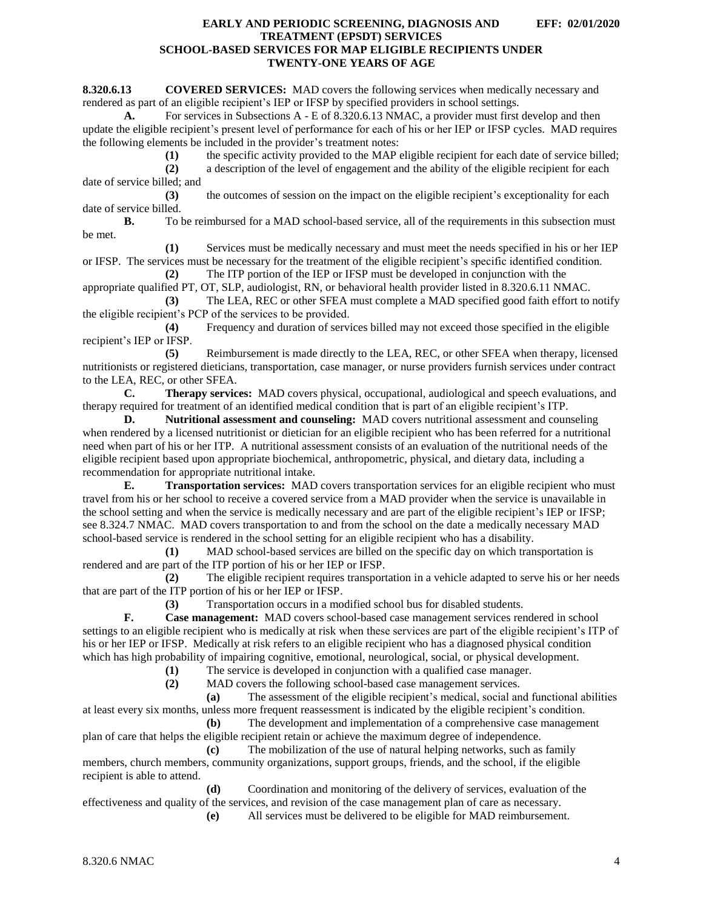# **EARLY AND PERIODIC SCREENING, DIAGNOSIS AND EFF: 02/01/2020**

# **TREATMENT (EPSDT) SERVICES SCHOOL-BASED SERVICES FOR MAP ELIGIBLE RECIPIENTS UNDER TWENTY-ONE YEARS OF AGE**

**8.320.6.13 COVERED SERVICES:** MAD covers the following services when medically necessary and rendered as part of an eligible recipient's IEP or IFSP by specified providers in school settings.

**A.** For services in Subsections A - E of 8.320.6.13 NMAC, a provider must first develop and then update the eligible recipient's present level of performance for each of his or her IEP or IFSP cycles. MAD requires the following elements be included in the provider's treatment notes:

**(1)** the specific activity provided to the MAP eligible recipient for each date of service billed;

**(2)** a description of the level of engagement and the ability of the eligible recipient for each date of service billed; and

**(3)** the outcomes of session on the impact on the eligible recipient's exceptionality for each date of service billed.

**B.** To be reimbursed for a MAD school-based service, all of the requirements in this subsection must be met.

**(1)** Services must be medically necessary and must meet the needs specified in his or her IEP or IFSP. The services must be necessary for the treatment of the eligible recipient's specific identified condition.

**(2)** The ITP portion of the IEP or IFSP must be developed in conjunction with the appropriate qualified PT, OT, SLP, audiologist, RN, or behavioral health provider listed in 8.320.6.11 NMAC.

**(3)** The LEA, REC or other SFEA must complete a MAD specified good faith effort to notify the eligible recipient's PCP of the services to be provided.

**(4)** Frequency and duration of services billed may not exceed those specified in the eligible recipient's IEP or IFSP.

**(5)** Reimbursement is made directly to the LEA, REC, or other SFEA when therapy, licensed nutritionists or registered dieticians, transportation, case manager, or nurse providers furnish services under contract to the LEA, REC, or other SFEA.

**C. Therapy services:** MAD covers physical, occupational, audiological and speech evaluations, and therapy required for treatment of an identified medical condition that is part of an eligible recipient's ITP.

**D. Nutritional assessment and counseling:** MAD covers nutritional assessment and counseling when rendered by a licensed nutritionist or dietician for an eligible recipient who has been referred for a nutritional need when part of his or her ITP. A nutritional assessment consists of an evaluation of the nutritional needs of the eligible recipient based upon appropriate biochemical, anthropometric, physical, and dietary data, including a recommendation for appropriate nutritional intake.

**E. Transportation services:** MAD covers transportation services for an eligible recipient who must travel from his or her school to receive a covered service from a MAD provider when the service is unavailable in the school setting and when the service is medically necessary and are part of the eligible recipient's IEP or IFSP; see 8.324.7 NMAC. MAD covers transportation to and from the school on the date a medically necessary MAD school-based service is rendered in the school setting for an eligible recipient who has a disability.

**(1)** MAD school-based services are billed on the specific day on which transportation is rendered and are part of the ITP portion of his or her IEP or IFSP.

**(2)** The eligible recipient requires transportation in a vehicle adapted to serve his or her needs that are part of the ITP portion of his or her IEP or IFSP.

**(3)** Transportation occurs in a modified school bus for disabled students.

**F. Case management:** MAD covers school-based case management services rendered in school settings to an eligible recipient who is medically at risk when these services are part of the eligible recipient's ITP of his or her IEP or IFSP. Medically at risk refers to an eligible recipient who has a diagnosed physical condition which has high probability of impairing cognitive, emotional, neurological, social, or physical development.

**(1)** The service is developed in conjunction with a qualified case manager.

**(2)** MAD covers the following school-based case management services.

**(a)** The assessment of the eligible recipient's medical, social and functional abilities at least every six months, unless more frequent reassessment is indicated by the eligible recipient's condition.

**(b)** The development and implementation of a comprehensive case management plan of care that helps the eligible recipient retain or achieve the maximum degree of independence.

**(c)** The mobilization of the use of natural helping networks, such as family members, church members, community organizations, support groups, friends, and the school, if the eligible recipient is able to attend.

**(d)** Coordination and monitoring of the delivery of services, evaluation of the effectiveness and quality of the services, and revision of the case management plan of care as necessary.

**(e)** All services must be delivered to be eligible for MAD reimbursement.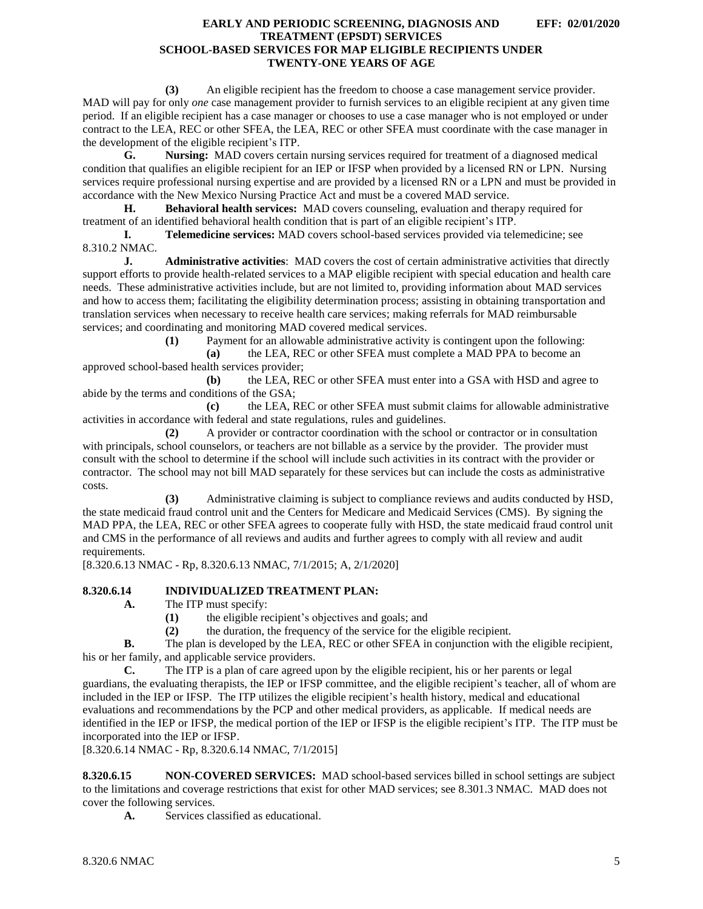**(3)** An eligible recipient has the freedom to choose a case management service provider. MAD will pay for only *one* case management provider to furnish services to an eligible recipient at any given time period. If an eligible recipient has a case manager or chooses to use a case manager who is not employed or under contract to the LEA, REC or other SFEA, the LEA, REC or other SFEA must coordinate with the case manager in the development of the eligible recipient's ITP.

**G. Nursing:** MAD covers certain nursing services required for treatment of a diagnosed medical condition that qualifies an eligible recipient for an IEP or IFSP when provided by a licensed RN or LPN. Nursing services require professional nursing expertise and are provided by a licensed RN or a LPN and must be provided in accordance with the New Mexico Nursing Practice Act and must be a covered MAD service.

**H. Behavioral health services:** MAD covers counseling, evaluation and therapy required for treatment of an identified behavioral health condition that is part of an eligible recipient's ITP.

**I. Telemedicine services:** MAD covers school-based services provided via telemedicine; see 8.310.2 NMAC.

**J. Administrative activities**: MAD covers the cost of certain administrative activities that directly support efforts to provide health-related services to a MAP eligible recipient with special education and health care needs. These administrative activities include, but are not limited to, providing information about MAD services and how to access them; facilitating the eligibility determination process; assisting in obtaining transportation and translation services when necessary to receive health care services; making referrals for MAD reimbursable services; and coordinating and monitoring MAD covered medical services.

**(1)** Payment for an allowable administrative activity is contingent upon the following:

**(a)** the LEA, REC or other SFEA must complete a MAD PPA to become an approved school-based health services provider;

**(b)** the LEA, REC or other SFEA must enter into a GSA with HSD and agree to abide by the terms and conditions of the GSA;

**(c)** the LEA, REC or other SFEA must submit claims for allowable administrative activities in accordance with federal and state regulations, rules and guidelines.

**(2)** A provider or contractor coordination with the school or contractor or in consultation with principals, school counselors, or teachers are not billable as a service by the provider. The provider must consult with the school to determine if the school will include such activities in its contract with the provider or contractor. The school may not bill MAD separately for these services but can include the costs as administrative costs.

**(3)** Administrative claiming is subject to compliance reviews and audits conducted by HSD, the state medicaid fraud control unit and the Centers for Medicare and Medicaid Services (CMS). By signing the MAD PPA, the LEA, REC or other SFEA agrees to cooperate fully with HSD, the state medicaid fraud control unit and CMS in the performance of all reviews and audits and further agrees to comply with all review and audit requirements.

[8.320.6.13 NMAC - Rp, 8.320.6.13 NMAC, 7/1/2015; A, 2/1/2020]

#### <span id="page-5-0"></span>**8.320.6.14 INDIVIDUALIZED TREATMENT PLAN:**

- **A.** The ITP must specify:
	- **(1)** the eligible recipient's objectives and goals; and
	- **(2)** the duration, the frequency of the service for the eligible recipient.

**B.** The plan is developed by the LEA, REC or other SFEA in conjunction with the eligible recipient, his or her family, and applicable service providers.

**C.** The ITP is a plan of care agreed upon by the eligible recipient, his or her parents or legal guardians, the evaluating therapists, the IEP or IFSP committee, and the eligible recipient's teacher, all of whom are included in the IEP or IFSP. The ITP utilizes the eligible recipient's health history, medical and educational evaluations and recommendations by the PCP and other medical providers, as applicable. If medical needs are identified in the IEP or IFSP, the medical portion of the IEP or IFSP is the eligible recipient's ITP. The ITP must be incorporated into the IEP or IFSP.

[8.320.6.14 NMAC - Rp, 8.320.6.14 NMAC, 7/1/2015]

<span id="page-5-1"></span>**8.320.6.15 NON-COVERED SERVICES:** MAD school-based services billed in school settings are subject to the limitations and coverage restrictions that exist for other MAD services; see 8.301.3 NMAC. MAD does not cover the following services.

**A.** Services classified as educational.